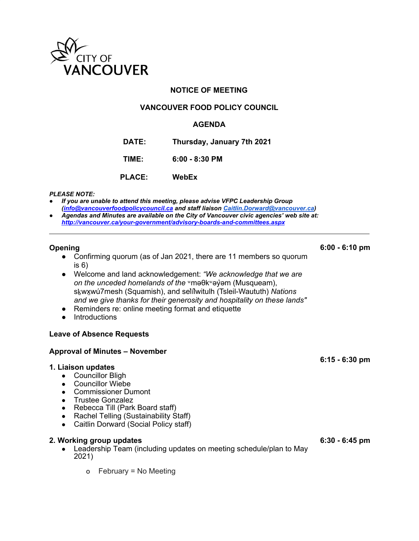

# **NOTICE OF MEETING**

# **VANCOUVER FOOD POLICY COUNCIL**

### **AGENDA**

**DATE: Thursday, January 7th 2021**

**TIME: 6:00 - 8:30 PM**

**PLACE: WebEx**

#### *PLEASE NOTE:*

- *If you are unable to attend this meeting, please advise VFPC Leadership Group ([info@vancouverfoodpolicycouncil.ca](mailto:info@vancouverfoodpolicycouncil.ca) and staff liaison [Caitlin.Dorward@vancouver.ca](mailto:Caitlin.Dorward@vancouver.ca))* ● *Agendas and Minutes are available on the City of Vancouver civic agencies' web site at:*
- *<http://vancouver.ca/your-government/advisory-boards-and-committees.aspx>*

#### **Opening**

- Confirming quorum (as of Jan 2021, there are 11 members so quorum is 6)
- Welcome and land acknowledgement: *"We acknowledge that we are on the unceded homelands of the* ʷməθkʷəy̓əm (Musqueam), sḵwx̱wú7mesh (Squamish), and sel̓íl̓witulh (Tsleil-Waututh) *Nations and we give thanks for their generosity and hospitality on these lands"*
- Reminders re: online meeting format and etiquette
- Introductions

# **Leave of Absence Requests**

### **Approval of Minutes – November**

#### **1. Liaison updates**

- Councillor Bligh
- Councillor Wiebe
- Commissioner Dumont
- Trustee Gonzalez
- Rebecca Till (Park Board staff)
- Rachel Telling (Sustainability Staff)
- Caitlin Dorward (Social Policy staff)

#### **2. Working group updates**

• Leadership Team (including updates on meeting schedule/plan to May 2021)

**6:30 - 6:45 pm**

o February = No Meeting

**6:00 - 6:10 pm**

**6:15 - 6:30 pm**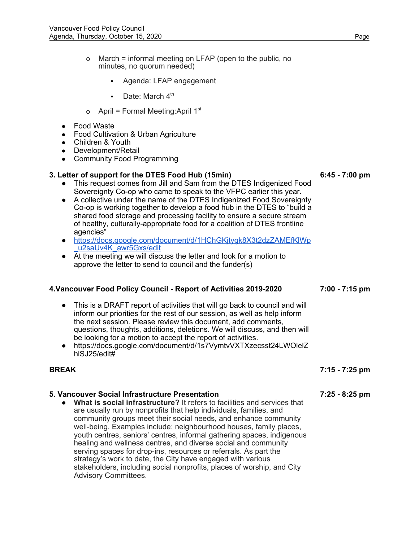- o March = informal meeting on LFAP (open to the public, no minutes, no quorum needed)
	- Agenda: LFAP engagement
	- $\blacksquare$  Date: March  $4^{\text{th}}$
- o April = Formal Meeting:April 1<sup>st</sup>
- Food Waste
- Food Cultivation & Urban Agriculture
- Children & Youth
- Development/Retail
- Community Food Programming

## **3. Letter of support for the DTES Food Hub (15min)**

- This request comes from Jill and Sam from the DTES Indigenized Food Sovereignty Co-op who came to speak to the VFPC earlier this year.
- A collective under the name of the DTES Indigenized Food Sovereignty Co-op is working together to develop a food hub in the DTES to "build a shared food storage and processing facility to ensure a secure stream of healthy, culturally-appropriate food for a coalition of DTES frontline agencies"
- [https://docs.google.com/document/d/1HChGKjtygk8X3t2dzZAMEfKlWp](https://docs.google.com/document/d/1HChGKjtygk8X3t2dzZAMEfKlWp_u2saUv4K_awr5Gxs/edit) [\\_u2saUv4K\\_awr5Gxs/edit](https://docs.google.com/document/d/1HChGKjtygk8X3t2dzZAMEfKlWp_u2saUv4K_awr5Gxs/edit)
- At the meeting we will discuss the letter and look for a motion to approve the letter to send to council and the funder(s)

### **4.Vancouver Food Policy Council - Report of Activities 2019-2020**

- This is a DRAFT report of activities that will go back to council and will inform our priorities for the rest of our session, as well as help inform the next session. Please review this document, add comments, questions, thoughts, additions, deletions. We will discuss, and then will be looking for a motion to accept the report of activities.
- https://docs.google.com/document/d/1s7VymtvVXTXzecsst24LWOlelZ hlSJ25/edit#

# **BREAK**

# **5. Vancouver Social Infrastructure Presentation**

**● What is social infrastructure?** It refers to facilities and services that are usually run by nonprofits that help individuals, families, and community groups meet their social needs, and enhance community well-being. Examples include: neighbourhood houses, family places, youth centres, seniors' centres, informal gathering spaces, indigenous healing and wellness centres, and diverse social and community serving spaces for drop-ins, resources or referrals. As part the strategy's work to date, the City have engaged with various stakeholders, including social nonprofits, places of worship, and City Advisory Committees.

**6:45 - 7:00 pm**

**7:00 - 7:15 pm**

**7:25 - 8:25 pm**

**7:15 - 7:25 pm**